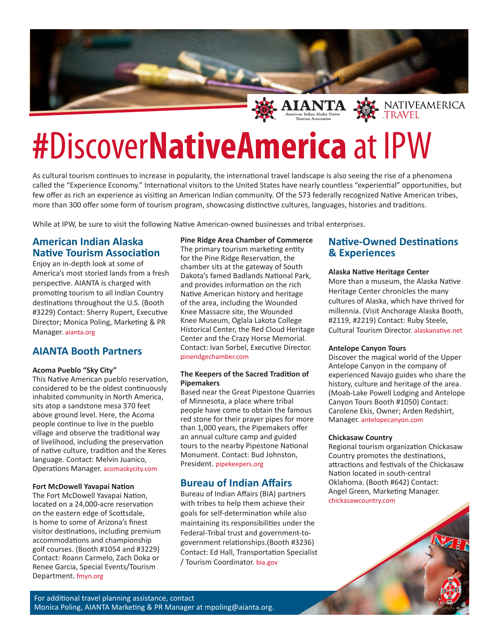

# **#**Discover**NativeAmerica** at IPW

As cultural tourism continues to increase in popularity, the international travel landscape is also seeing the rise of a phenomena called the "Experience Economy." International visitors to the United States have nearly countless "experiential" opportunities, but few offer as rich an experience as visiting an American Indian community. Of the 573 federally recognized Native American tribes, more than 300 offer some form of tourism program, showcasing distinctive cultures, languages, histories and traditions.

While at IPW, be sure to visit the following Native American-owned businesses and tribal enterprises.

# **American Indian Alaska Native Tourism Association**

Enjoy an in-depth look at some of America's most storied lands from a fresh perspective. AIANTA is charged with promoting tourism to all Indian Country destinations throughout the U.S. (Booth #3229) Contact: Sherry Rupert, Executive Director; Monica Poling, Marketing & PR Manager. aianta.org

## **AIANTA Booth Partners**

#### **Acoma Pueblo "Sky City"**

This Native American pueblo reservation, considered to be the oldest continuously inhabited community in North America, sits atop a sandstone mesa 370 feet above ground level. Here, the Acoma people continue to live in the pueblo village and observe the traditional way of livelihood, including the preservation of native culture, tradition and the Keres language. Contact: Melvin Juanico, Operations Manager. acomaskycity.com

#### **Fort McDowell Yavapai Nation**

The Fort McDowell Yavapai Nation, located on a 24,000-acre reservation on the eastern edge of Scottsdale, is home to some of Arizona's finest visitor destinations, including premium accommodations and championship golf courses. (Booth #1054 and #3229) Contact: Roann Carmelo, Zach Doka or Renee Garcia, Special Events/Tourism Department. fmyn.org

**Pine Ridge Area Chamber of Commerce** The primary tourism marketing entity for the Pine Ridge Reservation, the chamber sits at the gateway of South Dakota's famed Badlands National Park, and provides information on the rich Native American history and heritage of the area, including the Wounded Knee Massacre site, the Wounded Knee Museum, Oglala Lakota College Historical Center, the Red Cloud Heritage Center and the Crazy Horse Memorial. Contact: Ivan Sorbel, Executive Director. pineridgechamber.com

#### **The Keepers of the Sacred Tradition of Pipemakers**

Based near the Great Pipestone Quarries of Minnesota, a place where tribal people have come to obtain the famous red stone for their prayer pipes for more than 1,000 years, the Pipemakers offer an annual culture camp and guided tours to the nearby Pipestone National Monument. Contact: Bud Johnston, President. pipekeepers.org

## **Bureau of Indian Affairs**

Bureau of Indian Affairs (BIA) partners with tribes to help them achieve their goals for self-determination while also maintaining its responsibilities under the Federal-Tribal trust and government-togovernment relationships.(Booth #3236) Contact: Ed Hall, Transportation Specialist / Tourism Coordinator. bia.gov

# **Native-Owned Destinations & Experiences**

#### **Alaska Native Heritage Center**

More than a museum, the Alaska Native Heritage Center chronicles the many cultures of Alaska, which have thrived for millennia. (Visit Anchorage Alaska Booth, #2119, #2219) Contact: Ruby Steele, Cultural Tourism Director. alaskanative.net

#### **Antelope Canyon Tours**

Discover the magical world of the Upper Antelope Canyon in the company of experienced Navajo guides who share the history, culture and heritage of the area. (Moab-Lake Powell Lodging and Antelope Canyon Tours Booth #1050) Contact: Carolene Ekis, Owner; Arden Redshirt, Manager. antelopecanyon.com

#### **Chickasaw Country**

Regional tourism organization Chickasaw Country promotes the destinations, attractions and festivals of the Chickasaw Nation located in south-central Oklahoma. (Booth #642) Contact: Angel Green, Marketing Manager. chickasawcountry.com